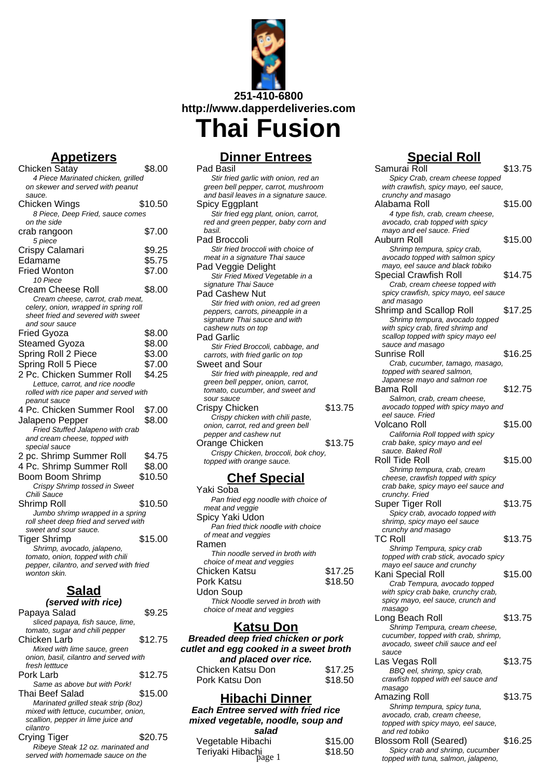

**Appetizers**

| <u>JUELIZEI S</u>                                                         |         |
|---------------------------------------------------------------------------|---------|
| Chicken Satay                                                             | \$8.00  |
| 4 Piece Marinated chicken, grilled                                        |         |
| on skewer and served with peanut                                          |         |
| sauce.                                                                    |         |
| Chicken Wings                                                             | \$10.50 |
| 8 Piece, Deep Fried, sauce comes                                          |         |
| on the side                                                               |         |
| crab rangoon                                                              | \$7.00  |
| 5 piece                                                                   |         |
| Crispy Calamari                                                           | \$9.25  |
|                                                                           |         |
| Edamame                                                                   | \$5.75  |
| <b>Fried Wonton</b>                                                       | \$7.00  |
| 10 Piece                                                                  |         |
| <b>Cream Cheese Roll</b>                                                  | \$8.00  |
| Cream cheese, carrot, crab meat,                                          |         |
| celery, onion, wrapped in spring roll                                     |         |
| sheet fried and severed with sweet                                        |         |
| and sour sauce                                                            |         |
| Fried Gyoza                                                               | \$8.00  |
| <b>Steamed Gyoza</b>                                                      | \$8.00  |
| Spring Roll 2 Piece                                                       | \$3.00  |
|                                                                           |         |
| Spring Roll 5 Piece                                                       | \$7.00  |
| 2 Pc. Chicken Summer Roll                                                 | \$4.25  |
| Lettuce, carrot, and rice noodle                                          |         |
| rolled with rice paper and served with                                    |         |
| peanut sauce                                                              |         |
| 4 Pc. Chicken Summer Rool                                                 | \$7.00  |
| Jalapeno Pepper                                                           | \$8.00  |
| Fried Stuffed Jalapeno with crab                                          |         |
| and cream cheese, topped with                                             |         |
| special sauce                                                             |         |
| 2 pc. Shrimp Summer Roll                                                  | \$4.75  |
| 4 Pc. Shrimp Summer Roll                                                  | \$8.00  |
| <b>Boom Boom Shrimp</b>                                                   | \$10.50 |
| Crispy Shrimp tossed in Sweet                                             |         |
| Chili Sauce                                                               |         |
| Shrimp Roll                                                               | \$10.50 |
|                                                                           |         |
| Jumbo shrimp wrapped in a spring<br>roll sheet deep fried and served with |         |
| sweet and sour sauce.                                                     |         |
| <b>Tiger Shrimp</b>                                                       | \$15.00 |
|                                                                           |         |
| Shrimp, avocado, jalapeno,<br>tomato, onion, topped with chili            |         |
| pepper, cilantro, and served with fried                                   |         |
| wonton skin.                                                              |         |
|                                                                           |         |
|                                                                           |         |

## **Salad**

| (served with rice)                     |         |
|----------------------------------------|---------|
| Papaya Salad                           | \$9.25  |
| sliced papaya, fish sauce, lime,       |         |
| tomato, sugar and chili pepper         |         |
| Chicken Larb                           | \$12.75 |
| Mixed with lime sauce, green           |         |
| onion, basil, cilantro and served with |         |
| fresh letttuce                         |         |
| Pork Larb                              | \$12.75 |
| Same as above but with Pork!           |         |
| Thai Beef Salad                        | \$15.00 |
| Marinated grilled steak strip (8oz)    |         |
| mixed with lettuce, cucumber, onion,   |         |
| scallion, pepper in lime juice and     |         |
| cilantro                               |         |
| Crying Tiger                           | \$20.75 |
| Ribeye Steak 12 oz. marinated and      |         |
| served with homemade sauce on the      |         |

**Dinner Entrees**

Pad Basil Stir fried garlic with onion, red an green bell pepper, carrot, mushroom and basil leaves in a signature sauce. Spicy Eggplant Stir fried egg plant, onion, carrot, red and green pepper, baby corn and basil. Pad Broccoli Stir fried broccoli with choice of meat in a signature Thai sauce Pad Veggie Delight Stir Fried Mixed Vegetable in a signature Thai Sauce Pad Cashew Nut Stir fried with onion, red ad green peppers, carrots, pineapple in a signature Thai sauce and with cashew nuts on top Pad Garlic Stir Fried Broccoli, cabbage, and carrots, with fried garlic on top Sweet and Sour Stir fried with pineapple, red and green bell pepper, onion, carrot, tomato, cucumber, and sweet and sour sauce Crispy Chicken \$13.75 Crispy chicken with chili paste, onion, carrot, red and green bell pepper and cashew nut Orange Chicken \$13.75 Crispy Chicken, broccoli, bok choy, topped with orange sauce.

### **Chef Special**

| Yaki Soba                           |         |
|-------------------------------------|---------|
| Pan fried egg noodle with choice of |         |
| meat and veggie                     |         |
| Spicy Yaki Udon                     |         |
| Pan fried thick noodle with choice  |         |
| of meat and veggies                 |         |
| Ramen                               |         |
| Thin noodle served in broth with    |         |
| choice of meat and veggies          |         |
| Chicken Katsu                       | \$17.25 |
| Pork Katsu                          | \$18.50 |
| Udon Soup                           |         |
| Thick Noodle served in broth with   |         |
| choice of meat and veggies          |         |
|                                     |         |

### **Katsu Don**

**Breaded deep fried chicken or pork cutlet and egg cooked in a sweet broth and placed over rice.** Chicken Katsu Don \$17.25 Pork Katsu Don \$18.50

### **Hibachi Dinner**

**Each Entree served with fried rice mixed vegetable, noodle, soup and salad**

| saiau                      |         |
|----------------------------|---------|
| Vegetable Hibachi          | \$15.00 |
| Teriyaki Hibachi<br>page 1 | \$18.50 |
|                            |         |

# **Special Roll**

Samurai Roll \$13.75 Spicy Crab, cream cheese topped with crawfish, spicy mayo, eel sauce, crunchy and masago Alabama Roll \$15.00 4 type fish, crab, cream cheese, avocado, crab topped with spicy mayo and eel sauce. Fried Auburn Roll \$15.00 Shrimp tempura, spicy crab, avocado topped with salmon spicy mayo, eel sauce and black tobiko Special Crawfish Roll \$14.75 Crab, cream cheese topped with spicy crawfish, spicy mayo, eel sauce and masago Shrimp and Scallop Roll \$17.25 Shrimp tempura, avocado topped with spicy crab, fired shrimp and scallop topped with spicy mayo eel sauce and masago Sunrise Roll \$16.25 Crab, cucumber, tamago, masago, topped with seared salmon, Japanese mayo and salmon roe Bama Roll \$12.75 Salmon, crab, cream cheese, avocado topped with spicy mayo and eel sauce. Fried Volcano Roll \$15.00 California Roll topped with spicy crab bake, spicy mayo and eel sauce. Baked Roll Roll Tide Roll \$15.00 Shrimp tempura, crab, cream cheese, crawfish topped with spicy crab bake, spicy mayo eel sauce and crunchy. Fried Super Tiger Roll \$13.75 Spicy crab, avocado topped with shrimp, spicy mayo eel sauce crunchy and masago TC Roll \$13.75 Shrimp Tempura, spicy crab topped with crab stick, avocado spicy mayo eel sauce and crunchy Kani Special Roll \$15.00 Crab Tempura, avocado topped with spicy crab bake, crunchy crab, spicy mayo, eel sauce, crunch and masago Long Beach Roll \$13.75 Shrimp Tempura, cream cheese, cucumber, topped with crab, shrimp, avocado, sweet chili sauce and eel sauce Las Vegas Roll \$13.75 BBQ eel, shrimp, spicy crab, crawfish topped with eel sauce and masago Amazing Roll \$13.75 Shrimp tempura, spicy tuna, avocado, crab, cream cheese, topped with spicy mayo, eel sauce, and red tobiko

Blossom Roll (Seared) \$16.25 Spicy crab and shrimp, cucumber 0 Spicy crab and shrimp, cucumber<br>topped with tuna, salmon, jalapeno,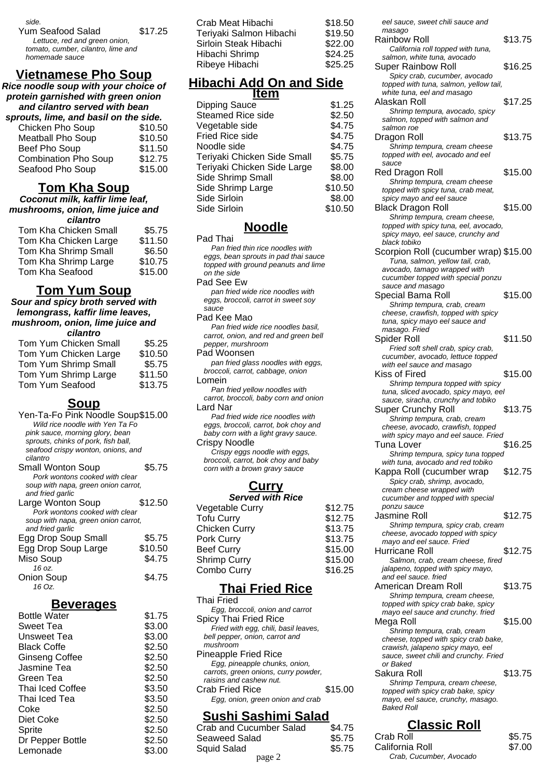side.

Yum Seafood Salad \$17,25

Lettuce, red and green onion, tomato, cumber, cilantro, lime and homemade sauce

### **Vietnamese Pho Soup**

**Rice noodle soup with your choice of protein garnished with green onion and cilantro served with bean**

| sprouts, lime, and basil on the side. |         |
|---------------------------------------|---------|
| Chicken Pho Soup                      | \$10.50 |
| <b>Meatball Pho Soup</b>              | \$10.50 |
| Beef Pho Soup                         | \$11.50 |
| <b>Combination Pho Soup</b>           | \$12.75 |
| Seafood Pho Soup                      | \$15.00 |

### **Tom Kha Soup**

#### **Coconut milk, kaffir lime leaf, mushrooms, onion, lime juice and cilantro**

| ымно                  |         |
|-----------------------|---------|
| Tom Kha Chicken Small | \$5.75  |
| Tom Kha Chicken Large | \$11.50 |
| Tom Kha Shrimp Small  | \$6.50  |
| Tom Kha Shrimp Large  | \$10.75 |
| Tom Kha Seafood       | \$15.00 |
|                       |         |

### **Tom Yum Soup**

#### **Sour and spicy broth served with lemongrass, kaffir lime leaves, mushroom, onion, lime juice and cilantro**

| ыаши                  |         |
|-----------------------|---------|
| Tom Yum Chicken Small | \$5.25  |
| Tom Yum Chicken Large | \$10.50 |
| Tom Yum Shrimp Small  | \$5.75  |
| Tom Yum Shrimp Large  | \$11.50 |
| Tom Yum Seafood       | \$13.75 |

### **Soup**

| Yen-Ta-Fo Pink Noodle Soup\$15.00   |         |
|-------------------------------------|---------|
| Wild rice noodle with Yen Ta Fo     |         |
| pink sauce, morning glory, bean     |         |
| sprouts, chinks of pork, fish ball, |         |
| seafood crispy wonton, onions, and  |         |
| cilantro                            |         |
| Small Wonton Soup                   | \$5.75  |
| Pork wontons cooked with clear      |         |
| soup with napa, green onion carrot, |         |
| and fried garlic                    |         |
| Large Wonton Soup                   | \$12.50 |
| Pork wontons cooked with clear      |         |
| soup with napa, green onion carrot, |         |
| and fried garlic                    |         |
| Egg Drop Soup Small                 | \$5.75  |
| Egg Drop Soup Large                 | \$10.50 |
| Miso Soup                           | \$4.75  |
| 16 oz.                              |         |
| Onion Soup                          | \$4.75  |
| 16 Oz.                              |         |
|                                     |         |

### **Beverages**

| <b>Bottle Water</b>   | \$1.75 |
|-----------------------|--------|
| Sweet Tea             | \$3.00 |
| Unsweet Tea           | \$3.00 |
| <b>Black Coffe</b>    | \$2.50 |
| <b>Ginseng Coffee</b> | \$2.50 |
| Jasmine Tea           | \$2.50 |
| Green Tea             | \$2.50 |
| Thai Iced Coffee      | \$3.50 |
| Thai Iced Tea         | \$3.50 |
| Coke                  | \$2.50 |
| Diet Coke             | \$2.50 |
| Sprite                | \$2.50 |
| Dr Pepper Bottle      | \$2.50 |
| Lemonade              | \$3.00 |

| Crab Meat Hibachi       | \$18.50 |
|-------------------------|---------|
| Feriyaki Salmon Hibachi | \$19.50 |
| Sirloin Steak Hibachi   | \$22.00 |
| Hibachi Shrimp          | \$24.25 |
| Ribeye Hibachi          | \$25.25 |
|                         |         |

# **Hibachi Add On and Side**

| \$1.25  |
|---------|
| \$2.50  |
| \$4.75  |
| \$4.75  |
| \$4.75  |
| \$5.75  |
| \$8.00  |
| \$8.00  |
| \$10.50 |
| \$8.00  |
| \$10.50 |
|         |

### **Noodle**

Pad Thai Pan fried thin rice noodles with eggs, bean sprouts in pad thai sauce topped with ground peanuts and lime on the side

Pad See Ew

pan fried wide rice noodles with eggs, broccoli, carrot in sweet soy sauce

Pad Kee Mao

Pan fried wide rice noodles basil, carrot, onion, and red and green bell pepper, murshroom

Pad Woonsen pan fried glass noodles with eggs,

broccoli, carrot, cabbage, onion Lomein

Pan fried yellow noodles with carrot, broccoli, baby corn and onion Lard Nar

Pad fried wide rice noodles with eggs, broccoli, carrot, bok choy and baby corn with a light gravy sauce. Crispy Noodle

Crispy eggs noodle with eggs, broccoli, carrot, bok choy and baby corn with a brown gravy sauce

# **Curry**

#### **Served with Rice**  $V$ egetable Curry  $$12.75$

| vegetable Oully     | <b>JIL.IJ</b> |
|---------------------|---------------|
| <b>Tofu Curry</b>   | \$12.75       |
| Chicken Curry       | \$13.75       |
| Pork Curry          | \$13.75       |
| Beef Curry          | \$15.00       |
| <b>Shrimp Curry</b> | \$15.00       |
| Combo Curry         | \$16.25       |
|                     |               |

## **Thai Fried Rice**

| Thai Fried                           |         |
|--------------------------------------|---------|
| Egg, broccoli, onion and carrot      |         |
| Spicy Thai Fried Rice                |         |
| Fried with egg, chili, basil leaves, |         |
| bell pepper, onion, carrot and       |         |
| mushroom                             |         |
| Pineapple Fried Rice                 |         |
| Egg, pineapple chunks, onion,        |         |
| carrots, green onions, curry powder, |         |
| raisins and cashew nut.              |         |
| Crab Fried Rice                      | \$15.00 |
| Egg, onion, green onion and crab     |         |
|                                      |         |

## **Sushi Sashimi Salad**

| Crab and Cucumber Salad | \$4.75 |
|-------------------------|--------|
| Seaweed Salad           | \$5.75 |
| <b>Squid Salad</b>      | \$5.75 |
| page 2                  |        |

| masago                                                             |         |
|--------------------------------------------------------------------|---------|
| Rainbow Roll                                                       | \$13.75 |
| California roll topped with tuna,                                  |         |
| salmon, white tuna, avocado                                        |         |
| <b>Super Rainbow Roll</b>                                          | \$16.25 |
| Spicy crab, cucumber, avocado                                      |         |
| topped with tuna, salmon, yellow tail,                             |         |
| white tuna, eel and masago                                         |         |
| Alaskan Roll                                                       | \$17.25 |
| Shrimp tempura, avocado, spicy                                     |         |
| salmon, topped with salmon and                                     |         |
| salmon roe                                                         |         |
| Dragon Roll                                                        | \$13.75 |
| Shrimp tempura, cream cheese                                       |         |
| topped with eel, avocado and eel                                   |         |
| sauce                                                              |         |
| Red Dragon Roll                                                    | \$15.00 |
|                                                                    |         |
| Shrimp tempura, cream cheese                                       |         |
| topped with spicy tuna, crab meat,<br>spicy mayo and eel sauce     |         |
|                                                                    | \$15.00 |
| <b>Black Dragon Roll</b>                                           |         |
| Shrimp tempura, cream cheese,                                      |         |
| topped with spicy tuna, eel, avocado,                              |         |
| spicy mayo, eel sauce, crunchy and<br>black tobiko                 |         |
|                                                                    |         |
| Scorpion Roll (cucumber wrap) \$15.00                              |         |
| Tuna, salmon, yellow tail, crab,                                   |         |
| avocado, tamago wrapped with                                       |         |
| cucumber topped with special ponzu<br>sauce and masago             |         |
| Special Bama Roll                                                  | \$15.00 |
|                                                                    |         |
| Shrimp tempura, crab, cream<br>cheese, crawfish, topped with spicy |         |
| tuna, spicy mayo eel sauce and                                     |         |
| masago. Fried                                                      |         |
| Spider Roll                                                        | \$11.50 |
| Fried soft shell crab, spicy crab,                                 |         |
| cucumber, avocado, lettuce topped                                  |         |
|                                                                    |         |
|                                                                    |         |
| with eel sauce and masago<br>Kiss of Fired                         |         |
|                                                                    | \$15.00 |
| Shrimp tempura topped with spicy                                   |         |
| tuna, sliced avocado, spicy mayo, eel                              |         |
| sauce, siracha, crunchy and tobiko<br><b>Super Crunchy Roll</b>    | \$13.75 |
|                                                                    |         |
| Shrimp tempura, crab, cream<br>cheese, avocado, crawfish, topped   |         |
| with spicy mayo and eel sauce. Fried                               |         |
| Tuna Lover                                                         | \$16.25 |
| Shrimp tempura, spicy tuna topped                                  |         |
| with tuna, avocado and red tobiko                                  |         |
| Kappa Roll (cucumber wrap                                          | \$12.75 |
| Spicy crab, shrimp, avocado,                                       |         |
| cream cheese wrapped with                                          |         |
| cucumber and topped with special                                   |         |
| ponzu sauce                                                        |         |
| Jasmine Roll                                                       | \$12.75 |
| Shrimp tempura, spicy crab, cream                                  |         |
| cheese, avocado topped with spicy                                  |         |
| mayo and eel sauce. Fried                                          |         |
| Hurricane Roll                                                     | \$12.75 |
| Salmon, crab, cream cheese, fired                                  |         |
| jalapeno, topped with spicy mayo,                                  |         |
| and eel sauce. fried                                               |         |
| American Dream Roll                                                | \$13.75 |
| Shrimp tempura, cream cheese,                                      |         |
| topped with spicy crab bake, spicy                                 |         |
| mayo eel sauce and crunchy. fried                                  |         |
| Mega Roll                                                          | \$15.00 |
| Shrimp tempura, crab, cream                                        |         |
| cheese, topped with spicy crab bake,                               |         |
| crawish, jalapeno spicy mayo, eel                                  |         |
| sauce, sweet chili and crunchy. Fried<br>or Baked                  |         |
| Sakura Roll                                                        | \$13.75 |
| Shrimp Tempura, cream cheese,                                      |         |
| topped with spicy crab bake, spicy                                 |         |
| mayo, eel sauce, crunchy, masago.<br><b>Baked Roll</b>             |         |

eel sauce, sweet chili sauce and

# **Classic Roll**

| d      | -<br>\$5.75 | Crab Roll               | \$5.75 |
|--------|-------------|-------------------------|--------|
|        | \$5.75      | California Roll         | \$7.00 |
| page 2 |             | Crab. Cucumber. Avocado |        |